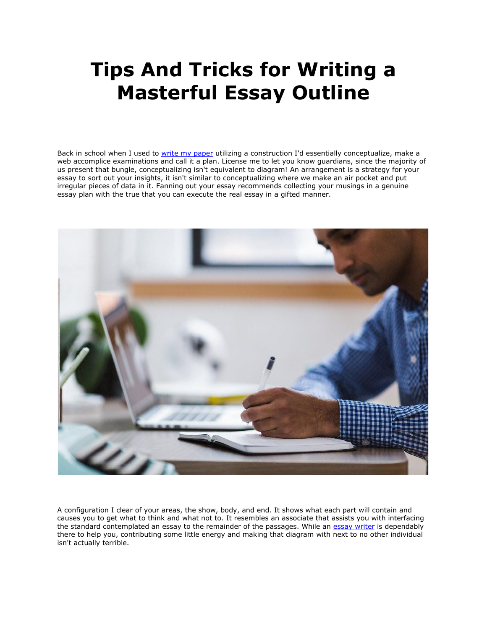## **Tips And Tricks for Writing a Masterful Essay Outline**

Back in school when I used to [write my paper](https://essayhours.com/) utilizing a construction I'd essentially conceptualize, make a web accomplice examinations and call it a plan. License me to let you know guardians, since the majority of us present that bungle, conceptualizing isn't equivalent to diagram! An arrangement is a strategy for your essay to sort out your insights, it isn't similar to conceptualizing where we make an air pocket and put irregular pieces of data in it. Fanning out your essay recommends collecting your musings in a genuine essay plan with the true that you can execute the real essay in a gifted manner.



A configuration I clear of your areas, the show, body, and end. It shows what each part will contain and causes you to get what to think and what not to. It resembles an associate that assists you with interfacing the standard contemplated an essay to the remainder of the passages. While an [essay writer](https://www.essaywritingservice.college/) is dependably there to help you, contributing some little energy and making that diagram with next to no other individual isn't actually terrible.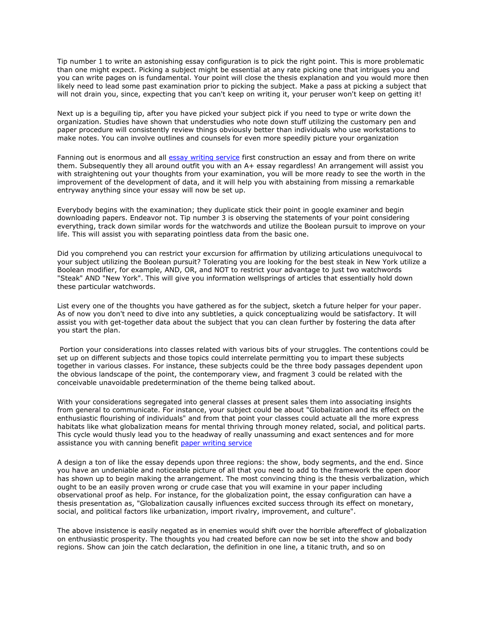Tip number 1 to write an astonishing essay configuration is to pick the right point. This is more problematic than one might expect. Picking a subject might be essential at any rate picking one that intrigues you and you can write pages on is fundamental. Your point will close the thesis explanation and you would more then likely need to lead some past examination prior to picking the subject. Make a pass at picking a subject that will not drain you, since, expecting that you can't keep on writing it, your peruser won't keep on getting it!

Next up is a beguiling tip, after you have picked your subject pick if you need to type or write down the organization. Studies have shown that understudies who note down stuff utilizing the customary pen and paper procedure will consistently review things obviously better than individuals who use workstations to make notes. You can involve outlines and counsels for even more speedily picture your organization

Fanning out is enormous and all [essay writing service](https://www.essaywriter.college/) first construction an essay and from there on write them. Subsequently they all around outfit you with an A+ essay regardless! An arrangement will assist you with straightening out your thoughts from your examination, you will be more ready to see the worth in the improvement of the development of data, and it will help you with abstaining from missing a remarkable entryway anything since your essay will now be set up.

Everybody begins with the examination; they duplicate stick their point in google examiner and begin downloading papers. Endeavor not. Tip number 3 is observing the statements of your point considering everything, track down similar words for the watchwords and utilize the Boolean pursuit to improve on your life. This will assist you with separating pointless data from the basic one.

Did you comprehend you can restrict your excursion for affirmation by utilizing articulations unequivocal to your subject utilizing the Boolean pursuit? Tolerating you are looking for the best steak in New York utilize a Boolean modifier, for example, AND, OR, and NOT to restrict your advantage to just two watchwords "Steak" AND "New York". This will give you information wellsprings of articles that essentially hold down these particular watchwords.

List every one of the thoughts you have gathered as for the subject, sketch a future helper for your paper. As of now you don't need to dive into any subtleties, a quick conceptualizing would be satisfactory. It will assist you with get-together data about the subject that you can clean further by fostering the data after you start the plan.

Portion your considerations into classes related with various bits of your struggles. The contentions could be set up on different subjects and those topics could interrelate permitting you to impart these subjects together in various classes. For instance, these subjects could be the three body passages dependent upon the obvious landscape of the point, the contemporary view, and fragment 3 could be related with the conceivable unavoidable predetermination of the theme being talked about.

With your considerations segregated into general classes at present sales them into associating insights from general to communicate. For instance, your subject could be about "Globalization and its effect on the enthusiastic flourishing of individuals" and from that point your classes could actuate all the more express habitats like what globalization means for mental thriving through money related, social, and political parts. This cycle would thusly lead you to the headway of really unassuming and exact sentences and for more assistance you with canning benefit [paper writing service](https://www.collegeessay.org/)

A design a ton of like the essay depends upon three regions: the show, body segments, and the end. Since you have an undeniable and noticeable picture of all that you need to add to the framework the open door has shown up to begin making the arrangement. The most convincing thing is the thesis verbalization, which ought to be an easily proven wrong or crude case that you will examine in your paper including observational proof as help. For instance, for the globalization point, the essay configuration can have a thesis presentation as, "Globalization causally influences excited success through its effect on monetary, social, and political factors like urbanization, import rivalry, improvement, and culture".

The above insistence is easily negated as in enemies would shift over the horrible aftereffect of globalization on enthusiastic prosperity. The thoughts you had created before can now be set into the show and body regions. Show can join the catch declaration, the definition in one line, a titanic truth, and so on